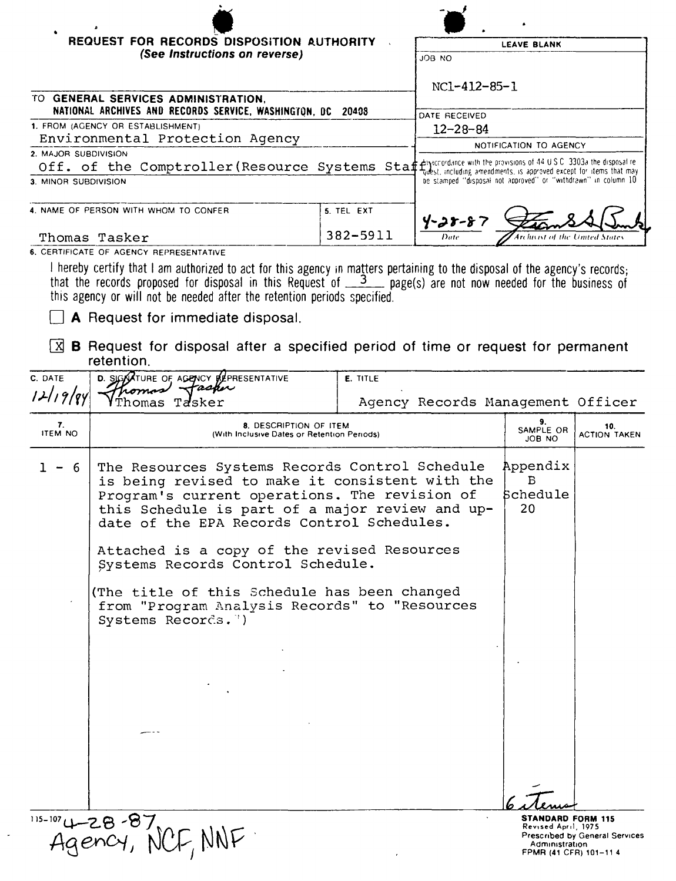| <b>REQUEST FOR RECORDS DISPOSITION AUTHORITY</b><br>(See Instructions on reverse)                                           |            | <b>LEAVE BLANK</b>                                                  |  |
|-----------------------------------------------------------------------------------------------------------------------------|------------|---------------------------------------------------------------------|--|
|                                                                                                                             |            | ON ROL                                                              |  |
|                                                                                                                             |            | NC1-412-85-1                                                        |  |
| TO GENERAL SERVICES ADMINISTRATION.<br>NATIONAL ARCHIVES AND RECORDS SERVICE, WASHINGTON, DC 20408                          |            | DATE RECEIVED                                                       |  |
| 1. FROM (AGENCY OR ESTABLISHMENT)                                                                                           |            | $12 - 28 - 84$                                                      |  |
| Environmental Protection Agency                                                                                             |            | NOTIFICATION TO AGENCY                                              |  |
| 2. MAJOR SUBDIVISION                                                                                                        |            |                                                                     |  |
| Off. of the Comptroller (Resource Systems Staff) accordance with the provisions of 44 USC 3303a the disposalite             |            | tydest, including amendments, is approved except for items that may |  |
| 3. MINOR SUBDIVISION                                                                                                        |            | be stamped "disposal not approved" or "withdrawn" in column 10      |  |
| 4. NAME OF PERSON WITH WHOM TO CONFER                                                                                       | 5. TEL EXT | $4 - 28 - 87$                                                       |  |
| Thomas Tasker                                                                                                               | 382-5911   | Archivist of the United States<br>Date                              |  |
| 6. CERTIFICATE OF AGENCY REPRESENTATIVE                                                                                     |            |                                                                     |  |
| $\Box$ haraby cartify that Lam outhorized to eat for this example mottors nortaining to the disposal of the example reserve |            |                                                                     |  |

I hereby certify that I am authorized to act for this agency in matters pertaining to the disposal of the agency's records;<br>that the records proposed for disposal in this Request of  $\frac{3}{2}$  page(s) are not now needed fo

 $\Box$  A Request for immediate disposal.

 $\ddot{\phantom{a}}$ 

 $\boxed{X}$  **B** Request for disposal after a specified period of time or request for permanent retention.

| C. DATE              | D. SIGNATURE OF AGENCY REPRESENTATIVE<br>Fasher                                                                     | <b>E. TITLE</b>                                                                                                                                                                                                                                                             |                                                                                             |                                |
|----------------------|---------------------------------------------------------------------------------------------------------------------|-----------------------------------------------------------------------------------------------------------------------------------------------------------------------------------------------------------------------------------------------------------------------------|---------------------------------------------------------------------------------------------|--------------------------------|
| 12119/89             | Tasker                                                                                                              | Agency Records Management Officer                                                                                                                                                                                                                                           |                                                                                             |                                |
| 7.<br><b>ITEM NO</b> | 8. DESCRIPTION OF ITEM<br>(With Inclusive Dates or Retention Periods)                                               | 9.<br>SAMPLE OR<br>JOB NO                                                                                                                                                                                                                                                   |                                                                                             | 10.<br>ACTION TAKEN            |
| 1.<br>- 6            |                                                                                                                     | Appendix<br>The Resources Systems Records Control Schedule<br>is being revised to make it consistent with the<br>Schedule<br>Program's current operations. The revision of<br>this Schedule is part of a major review and up-<br>date of the EPA Records Control Schedules. |                                                                                             |                                |
|                      | Attached is a copy of the revised Resources<br>Systems Records Control Schedule.                                    |                                                                                                                                                                                                                                                                             |                                                                                             |                                |
|                      | (The title of this Schedule has been changed<br>from "Program Analysis Records" to "Resources<br>Systems Records.") |                                                                                                                                                                                                                                                                             |                                                                                             |                                |
|                      |                                                                                                                     |                                                                                                                                                                                                                                                                             |                                                                                             |                                |
|                      |                                                                                                                     |                                                                                                                                                                                                                                                                             |                                                                                             |                                |
|                      |                                                                                                                     |                                                                                                                                                                                                                                                                             |                                                                                             |                                |
|                      |                                                                                                                     |                                                                                                                                                                                                                                                                             |                                                                                             |                                |
|                      | $49 - 28 - 87$<br>Agency, N                                                                                         |                                                                                                                                                                                                                                                                             | <b>STANDARD FORM 115</b><br>Revised April, 1975.<br>Administration<br>FPMR (41 CFR) 101-114 | Prescribed by General Services |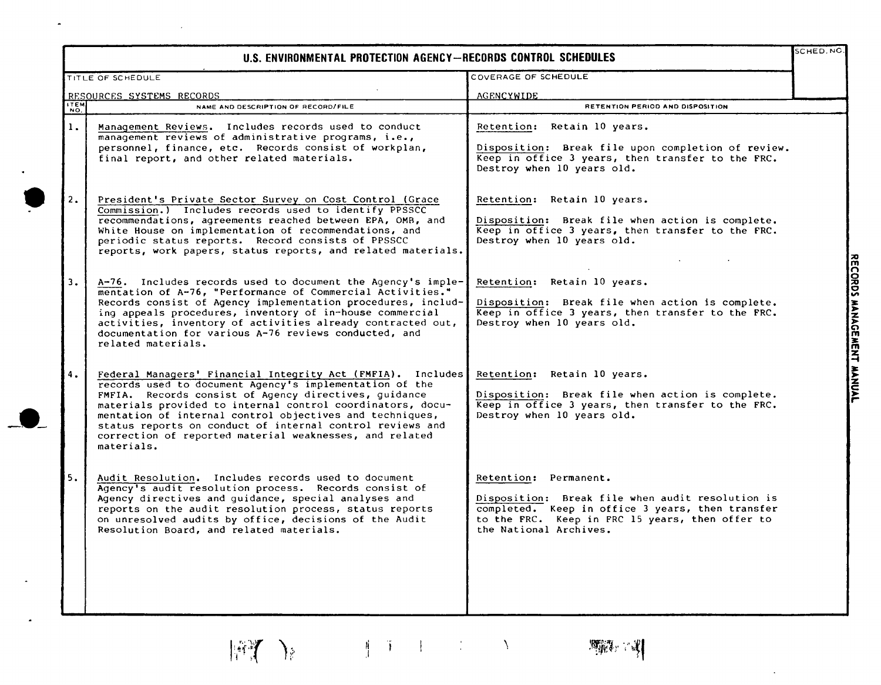|             | U.S. ENVIRONMENTAL PROTECTION AGENCY-RECORDS CONTROL SCHEDULES                                                                                                                                                                                                                                                                                                                                                                                  |                                                                                                                                                                                                            |
|-------------|-------------------------------------------------------------------------------------------------------------------------------------------------------------------------------------------------------------------------------------------------------------------------------------------------------------------------------------------------------------------------------------------------------------------------------------------------|------------------------------------------------------------------------------------------------------------------------------------------------------------------------------------------------------------|
|             | TITLE OF SCHEDULE                                                                                                                                                                                                                                                                                                                                                                                                                               | COVERAGE OF SCHEDULE                                                                                                                                                                                       |
| <b>ITEM</b> | RESOURCES SYSTEMS RECORDS<br>NAME AND DESCRIPTION OF RECORD/FILE                                                                                                                                                                                                                                                                                                                                                                                | AGENCYWIDE<br>RETENTION PERIOD AND DISPOSITION                                                                                                                                                             |
| NO.<br>1.   | Management Reviews. Includes records used to conduct<br>management reviews of administrative programs, i.e.,<br>personnel, finance, etc. Records consist of workplan,<br>final report, and other related materials.                                                                                                                                                                                                                             | Retention: Retain 10 years.<br>Disposition: Break file upon completion of review.<br>Keep in office 3 years, then transfer to the FRC.<br>Destroy when 10 years old.                                       |
| 2.          | President's Private Sector Survey on Cost Control (Grace<br>Commission.) Includes records used to identify PPSSCC<br>recommendations, agreements reached between EPA, OMB, and<br>White House on implementation of recommendations, and<br>periodic status reports. Record consists of PPSSCC<br>reports, work papers, status reports, and related materials.                                                                                   | Retention: Retain 10 years.<br>Disposition: Break file when action is complete.<br>Keep in office 3 years, then transfer to the FRC.<br>Destroy when 10 years old.                                         |
| 3.          | $A-76$ . Includes records used to document the Agency's imple-<br>mentation of A-76, "Performance of Commercial Activities."<br>Records consist of Agency implementation procedures, includ-<br>ing appeals procedures, inventory of in-house commercial<br>activities, inventory of activities already contracted out,<br>documentation for various A-76 reviews conducted, and<br>related materials.                                          | Retention: Retain 10 years.<br>Disposition: Break file when action is complete.<br>Keep in office 3 years, then transfer to the FRC.<br>Destroy when 10 years old.                                         |
| 4.          | Federal Managers' Financial Integrity Act (FMFIA). Includes<br>records used to document Agency's implementation of the<br>FMFIA. Records consist of Agency directives, quidance<br>materials provided to internal control coordinators, docu-<br>mentation of internal control objectives and techniques,<br>status reports on conduct of internal control reviews and<br>correction of reported material weaknesses, and related<br>materials. | Retention: Retain 10 years.<br>Disposition: Break file when action is complete.<br>Keep in office 3 years, then transfer to the FRC.<br>Destroy when 10 years old.                                         |
| 5.          | Audit Resolution. Includes records used to document<br>Agency's audit resolution process. Records consist of<br>Agency directives and guidance, special analyses and<br>reports on the audit resolution process, status reports<br>on unresolved audits by office, decisions of the Audit<br>Resolution Board, and related materials.                                                                                                           | Retention: Permanent.<br>Disposition: Break file when audit resolution is<br>completed. Keep in office 3 years, then transfer<br>to the FRC. Keep in FRC 15 years, then offer to<br>the National Archives. |
|             |                                                                                                                                                                                                                                                                                                                                                                                                                                                 |                                                                                                                                                                                                            |

 $\tilde{\phantom{a}}$ 

 $\sim$ 

Ii \ ,I

博了》

RECORDS MANAGEMENT MANUAL

 $\mathcal{A}^{\mathcal{A}}$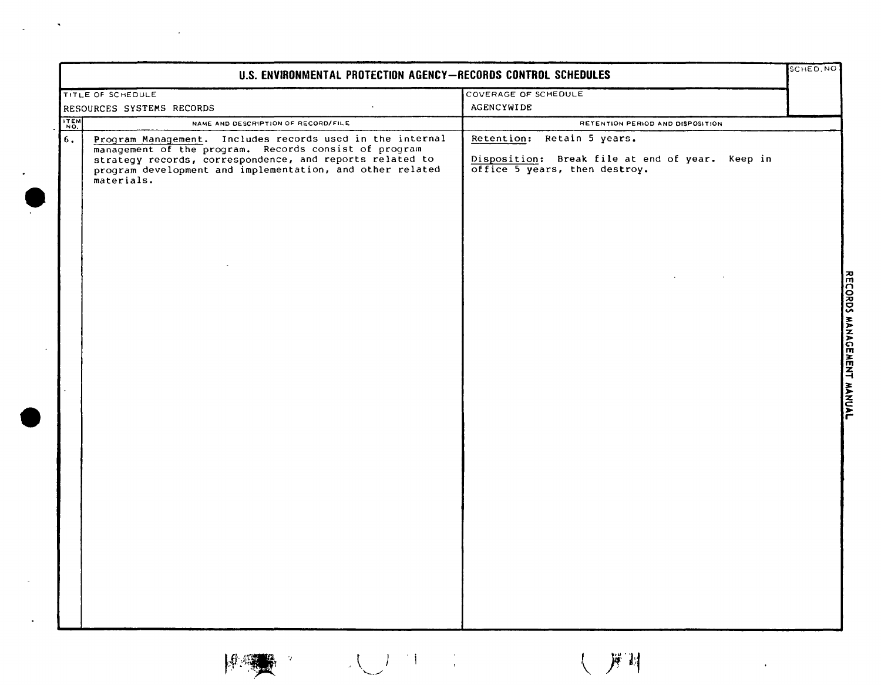| U.S. ENVIRONMENTAL PROTECTION AGENCY-RECORDS CONTROL SCHEDULES |                                                                                                                                                                                                                                                           |                                                                                                                | SCHED, NO |
|----------------------------------------------------------------|-----------------------------------------------------------------------------------------------------------------------------------------------------------------------------------------------------------------------------------------------------------|----------------------------------------------------------------------------------------------------------------|-----------|
|                                                                | TITLE OF SCHEDULE                                                                                                                                                                                                                                         | COVERAGE OF SCHEDULE                                                                                           |           |
|                                                                | RESOURCES SYSTEMS RECORDS                                                                                                                                                                                                                                 | AGENCYWIDE                                                                                                     |           |
| <b>ITEM</b>                                                    | NAME AND DESCRIPTION OF RECORD/FILE                                                                                                                                                                                                                       | RETENTION PERIOD AND DISPOSITION                                                                               |           |
| $6.$                                                           | Program Management. Includes records used in the internal<br>management of the program. Records consist of program<br>strategy records, correspondence, and reports related to<br>program development and implementation, and other related<br>materials. | Retention: Retain 5 years.<br>Disposition: Break file at end of year. Keep in<br>office 5 years, then destroy. |           |
|                                                                |                                                                                                                                                                                                                                                           |                                                                                                                |           |
|                                                                |                                                                                                                                                                                                                                                           |                                                                                                                |           |
|                                                                |                                                                                                                                                                                                                                                           |                                                                                                                |           |
|                                                                |                                                                                                                                                                                                                                                           |                                                                                                                |           |
|                                                                |                                                                                                                                                                                                                                                           |                                                                                                                |           |
|                                                                |                                                                                                                                                                                                                                                           |                                                                                                                |           |
|                                                                |                                                                                                                                                                                                                                                           |                                                                                                                |           |

 $\sim 10^{11}$  km  $^{-1}$ 



 $\label{eq:2.1} \frac{1}{\sqrt{2}}\left(\frac{1}{\sqrt{2}}\right)^{2} \left(\frac{1}{\sqrt{2}}\right)^{2} \left(\frac{1}{\sqrt{2}}\right)^{2} \left(\frac{1}{\sqrt{2}}\right)^{2} \left(\frac{1}{\sqrt{2}}\right)^{2} \left(\frac{1}{\sqrt{2}}\right)^{2} \left(\frac{1}{\sqrt{2}}\right)^{2} \left(\frac{1}{\sqrt{2}}\right)^{2} \left(\frac{1}{\sqrt{2}}\right)^{2} \left(\frac{1}{\sqrt{2}}\right)^{2} \left(\frac{1}{\sqrt{2}}\right)^{2} \left(\$